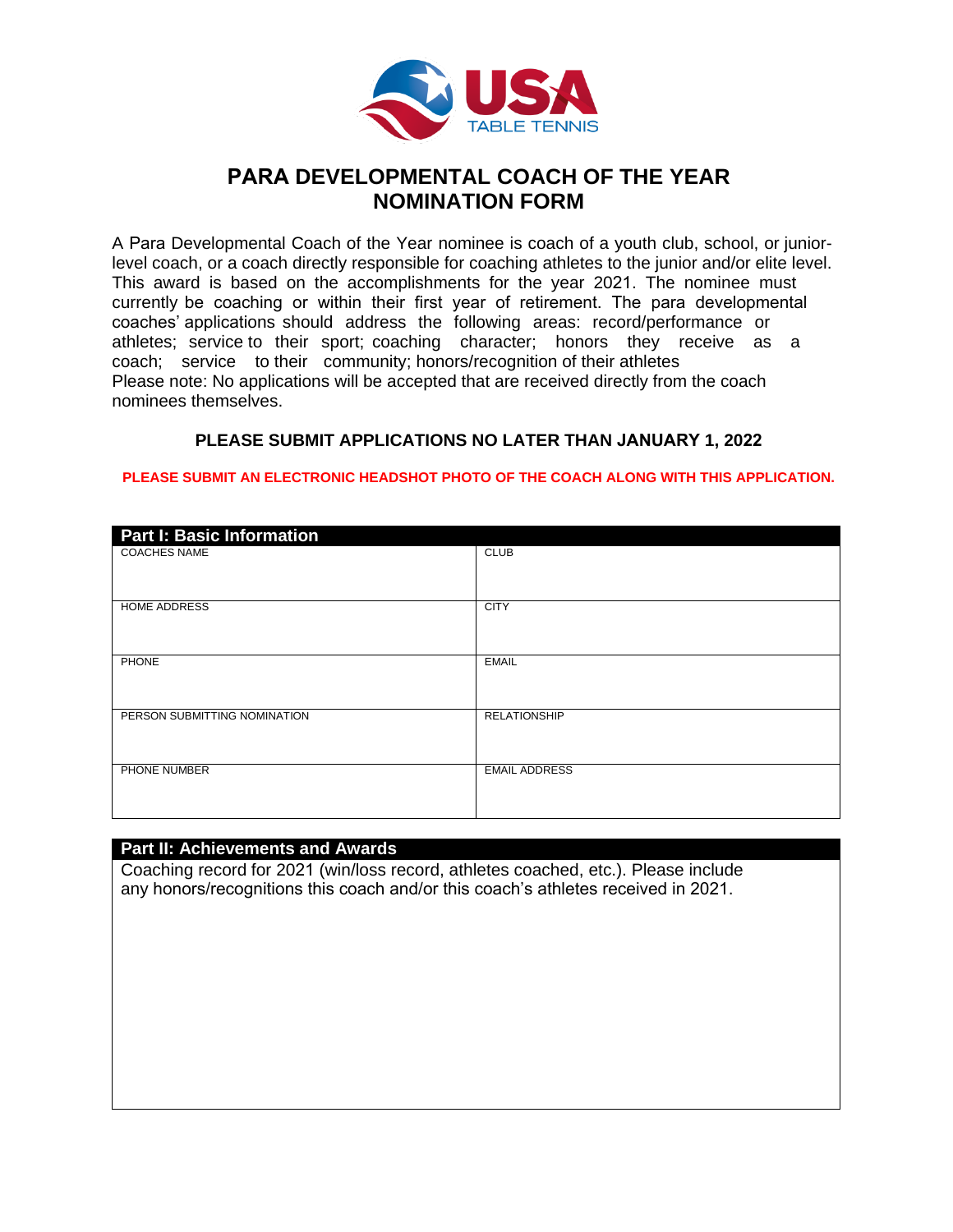

# **PARA DEVELOPMENTAL COACH OF THE YEAR NOMINATION FORM**

A Para Developmental Coach of the Year nominee is coach of a youth club, school, or juniorlevel coach, or a coach directly responsible for coaching athletes to the junior and/or elite level. This award is based on the accomplishments for the year 2021. The nominee must currently be coaching or within their first year of retirement. The para developmental coaches' applications should address the following areas: record/performance or athletes; service to their sport; coaching character; honors they receive as a coach; service to their community; honors/recognition of their athletes Please note: No applications will be accepted that are received directly from the coach nominees themselves.

# **PLEASE SUBMIT APPLICATIONS NO LATER THAN JANUARY 1, 2022**

#### **PLEASE SUBMIT AN ELECTRONIC HEADSHOT PHOTO OF THE COACH ALONG WITH THIS APPLICATION.**

| <b>Part I: Basic Information</b> |                      |
|----------------------------------|----------------------|
| <b>COACHES NAME</b>              | <b>CLUB</b>          |
| <b>HOME ADDRESS</b>              | <b>CITY</b>          |
| <b>PHONE</b>                     | <b>EMAIL</b>         |
| PERSON SUBMITTING NOMINATION     | <b>RELATIONSHIP</b>  |
| PHONE NUMBER                     | <b>EMAIL ADDRESS</b> |

# **Part II: Achievements and Awards**

Coaching record for 2021 (win/loss record, athletes coached, etc.). Please include any honors/recognitions this coach and/or this coach's athletes received in 2021.